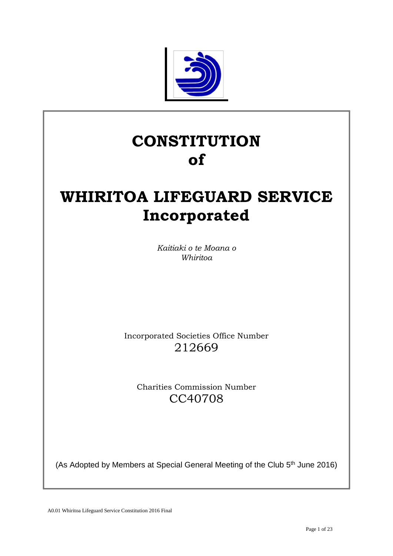

# **CONSTITUTION of**

# **WHIRITOA LIFEGUARD SERVICE Incorporated**

*Kaitiaki o te Moana o Whiritoa* 

Incorporated Societies Office Number 212669

Charities Commission Number CC40708

(As Adopted by Members at Special General Meeting of the Club 5<sup>th</sup> June 2016)

A0.01 Whiritoa Lifeguard Service Constitution 2016 Final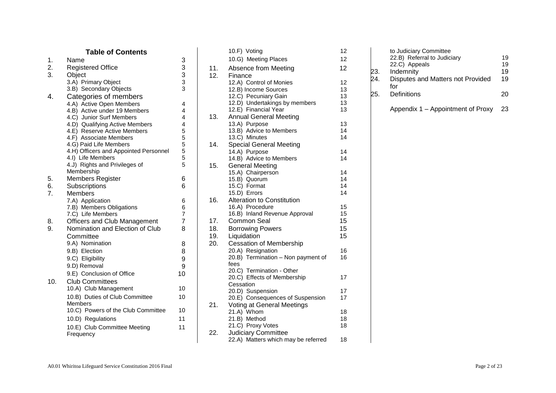#### **Table of Contents** 1. Name 3 2. Registered Office<br>3. Object 3 Object 3 3.A) Primary Object 3 3.B) Secondary Objects 3 4. Categories of members 4.A) Active Open Members 4 4.B) Active under 19 Members 4 4.C) Junior Surf Members 4 4.D) Qualifying Active Members 4 4.E) Reserve Active Members 5 4.F) Associate Members 5 4.G) Paid Life Members 5 4.H) Officers and Appointed Personnel 5 4.I) Life Members 5 4.J) Rights and Privileges of Membership 5 5. Members Register 6 6. Subscriptions 6 7. Members 7.A) Application 6 7.B) Members Obligations 6 7.C) Life Members 7 8. Officers and Club Management 7 9. Nomination and Election of Club **Committee** 8 9.A) Nomination 8 9.B) Election 8 9.C) Eligibility 9 9.D) Removal 9 9.E) Conclusion of Office 10 10. Club Committee s 10.A) Club Management 10 10.B) Duties of Club Committee Members 10 10. C) Powers of the Club Committee 10 10. D) Regulations 1 1 10. E) Club Committee Meeting **Frequency** 1 1

|     | 10.F) Voting                        | 12              |
|-----|-------------------------------------|-----------------|
|     | 10.G) Meeting Places                | 12              |
| 11. | Absence from Meeting                | 12 <sup>2</sup> |
| 12. | Finance                             |                 |
|     | 12.A) Control of Monies             | 12              |
|     | 12.B) Income Sources                | 13              |
|     | 12.C) Pecuniary Gain                | 13              |
|     | 12.D) Undertakings by members       | 13              |
|     | 12.E) Financial Year                | 13              |
| 13. | <b>Annual General Meeting</b>       |                 |
|     | 13.A) Purpose                       | 13              |
|     | 13.B) Advice to Members             | 14              |
|     | 13.C) Minutes                       | 14              |
| 14. | <b>Special General Meeting</b>      |                 |
|     | 14.A) Purpose                       | 14              |
|     | 14.B) Advice to Members             | 14              |
| 15. | <b>General Meeting</b>              |                 |
|     | 15.A) Chairperson                   | 14              |
|     | 15.B) Quorum                        | 14              |
|     | 15.C) Format                        | 14              |
|     | 15.D) Errors                        | 14              |
| 16. | <b>Alteration to Constitution</b>   |                 |
|     | 16.A) Procedure                     | 15<br>15        |
|     | 16.B) Inland Revenue Approval       |                 |
| 17. | <b>Common Seal</b>                  | 15<br>15        |
| 18. | <b>Borrowing Powers</b>             |                 |
| 19. | 15<br>Liquidation                   |                 |
| 20. | <b>Cessation of Membership</b>      |                 |
|     | 20.A) Resignation                   | 16              |
|     | 20.B) Termination - Non payment of  | 16              |
|     | fees<br>20.C) Termination - Other   |                 |
|     | 20.C) Effects of Membership         | 17              |
|     | Cessation                           |                 |
|     | 20.D) Suspension                    | 17              |
|     | 20.E) Consequences of Suspension    | 17              |
| 21. | Voting at General Meetings          |                 |
|     | 21.A) Whom                          | 18              |
|     | 21.B) Method                        | 18              |
|     | 21.C) Proxy Votes                   | 18              |
| 22. | <b>Judiciary Committee</b>          |                 |
|     | 22.A) Matters which may be referred | 18              |

| 22.B) Referral to Judiciary              | 19                     |
|------------------------------------------|------------------------|
| 22.C) Appeals                            | 19                     |
| Indemnity                                | 19                     |
| Disputes and Matters not Provided<br>for | 19                     |
| Definitions                              | 20                     |
|                                          | to Judiciary Committee |

Appendix 1 – Appointment of Proxy 2 3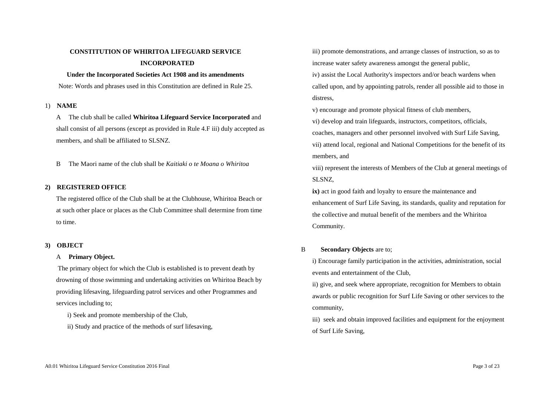## **CONSTITUTION OF WHIRITOA LIFEGUARD SERVICE INCORPORATED**

#### **Under the Incorporated Societies Act 1908 and its amendments**

Note: Words and phrases used in this Constitution are defined in Rule 25.

#### 1) **NAME**

A The club shall be called **Whiritoa Lifeguard Service Incorporated** and shall consist of all persons (except as provided in Rule 4.F iii) duly accepted as members, and shall be affiliated to SLSNZ.

B The Maori name of the club shall be *Kaitiaki o te Moana o Whiritoa*

## **2) REGISTERED OFFICE**

The registered office of the Club shall be at the Clubhouse, Whiritoa Beach or at such other place or places as the Club Committee shall determine from time to time.

## **3) OBJECT**

## A **Primary Object.**

The primary object for which the Club is established is to prevent death by drowning of those swimming and undertaking activities on Whiritoa Beach by providing lifesaving, lifeguarding patrol services and other Programmes and services including to;

i) Seek and promote membership of the Club,

ii) Study and practice of the methods of surf lifesaving,

iii) promote demonstrations, and arrange classes of instruction, so as to increase water safety awareness amongst the general public,

iv) assist the Local Authority's inspectors and/or beach wardens when called upon, and by appointing patrols, render all possible aid to those in distress,

v) encourage and promote physical fitness of club members,

vi) develop and train lifeguards, instructors, competitors, officials, coaches, managers and other personnel involved with Surf Life Saving, vii) attend local, regional and National Competitions for the benefit of its members, and

viii) represent the interests of Members of the Club at general meetings of SLSNZ,

**ix)** act in good faith and loyalty to ensure the maintenance and enhancement of Surf Life Saving, its standards, quality and reputation for the collective and mutual benefit of the members and the Whiritoa Community.

## B **Secondary Objects** are to;

i) Encourage family participation in the activities, administration, social events and entertainment of the Club,

ii) give, and seek where appropriate, recognition for Members to obtain awards or public recognition for Surf Life Saving or other services to the community,

iii) seek and obtain improved facilities and equipment for the enjoyment of Surf Life Saving,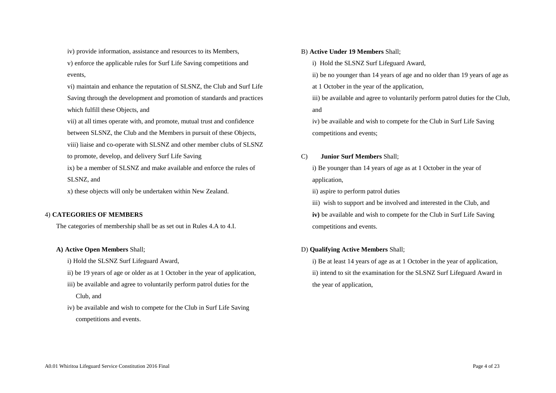iv) provide information, assistance and resources to its Members, v) enforce the applicable rules for Surf Life Saving competitions and events,

vi) maintain and enhance the reputation of SLSNZ, the Club and Surf Life Saving through the development and promotion of standards and practices which fulfill these Objects, and

vii) at all times operate with, and promote, mutual trust and confidence between SLSNZ, the Club and the Members in pursuit of these Objects,

viii) liaise and co-operate with SLSNZ and other member clubs of SLSNZ

to promote, develop, and delivery Surf Life Saving

ix) be a member of SLSNZ and make available and enforce the rules of SLSNZ, and

x) these objects will only be undertaken within New Zealand.

## 4) **CATEGORIES OF MEMBERS**

The categories of membership shall be as set out in Rules 4.A to 4.I.

## **A) Active Open Members** Shall;

i) Hold the SLSNZ Surf Lifeguard Award,

ii) be 19 years of age or older as at 1 October in the year of application,

- iii) be available and agree to voluntarily perform patrol duties for the Club, and
- iv) be available and wish to compete for the Club in Surf Life Saving competitions and events.

## B) **Active Under 19 Members** Shall;

i) Hold the SLSNZ Surf Lifeguard Award,

ii) be no younger than 14 years of age and no older than 19 years of age as

at 1 October in the year of the application,

iii) be available and agree to voluntarily perform patrol duties for the Club, and

iv) be available and wish to compete for the Club in Surf Life Saving competitions and events;

## C) **Junior Surf Members** Shall;

i) Be younger than 14 years of age as at 1 October in the year of application,

ii) aspire to perform patrol duties

iii) wish to support and be involved and interested in the Club, and **iv)** be available and wish to compete for the Club in Surf Life Saving competitions and events.

## D) **Qualifying Active Members** Shall;

i) Be at least 14 years of age as at 1 October in the year of application, ii) intend to sit the examination for the SLSNZ Surf Lifeguard Award in the year of application,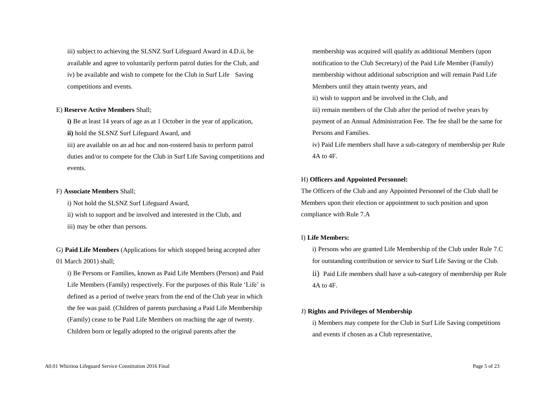iii) subject to achieving the SLSNZ Surf Lifeguard Award in 4.D.ii, be available and agree to voluntarily perform patrol duties for the Club, and iv) be available and wish to compete for the Club in Surf Life Saving competitions and events.

#### E) **Reserve Active Members** Shall;

**i)** Be at least 14 years of age as at 1 October in the year of application,

**ii)** hold the SLSNZ Surf Lifeguard Award, and

iii) are available on an ad hoc and non-rostered basis to perform patrol duties and/or to compete for the Club in Surf Life Saving competitions and events.

#### F) **Associate Members** Shall;

i) Not hold the SLSNZ Surf Lifeguard Award,

ii) wish to support and be involved and interested in the Club, and iii) may be other than persons.

G) **Paid Life Members** (Applications for which stopped being accepted after 01 March 2001) shall;

i) Be Persons or Families, known as Paid Life Members (Person) and Paid Life Members (Family) respectively. For the purposes of this Rule 'Life' is defined as a period of twelve years from the end of the Club year in which the fee was paid. (Children of parents purchasing a Paid Life Membership (Family) cease to be Paid Life Members on reaching the age of twenty. Children born or legally adopted to the original parents after the

membership was acquired will qualify as additional Members (upon notification to the Club Secretary) of the Paid Life Member (Family) membership without additional subscription and will remain Paid Life Members until they attain twenty years, and ii) wish to support and be involved in the Club, and iii) remain members of the Club after the period of twelve years by payment of an Annual Administration Fee. The fee shall be the same for Persons and Families.

iv) Paid Life members shall have a sub-category of membership per Rule 4A to 4F.

## H) **Officers and Appointed Personnel:**

The Officers of the Club and any Appointed Personnel of the Club shall be Members upon their election or appointment to such position and upon compliance with Rule 7.A

## I) **Life Members:**

i) Persons who are granted Life Membership of the Club under Rule 7.C for outstanding contribution or service to Surf Life Saving or the Club. ii) Paid Life members shall have a sub-category of membership per Rule  $4A$  to  $4F$ .

## J) **Rights and Privileges of Membership**

i) Members may compete for the Club in Surf Life Saving competitions and events if chosen as a Club representative,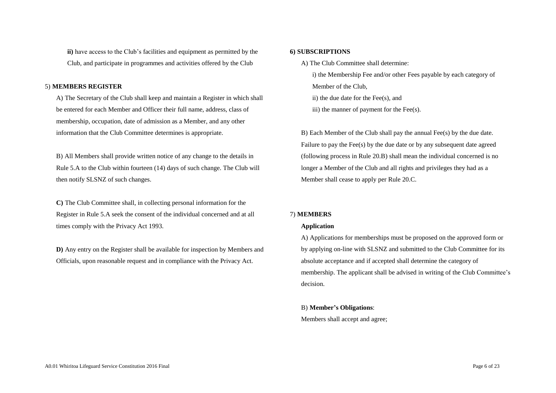**ii)** have access to the Club's facilities and equipment as permitted by the Club, and participate in programmes and activities offered by the Club

#### 5) **MEMBERS REGISTER**

A) The Secretary of the Club shall keep and maintain a Register in which shall be entered for each Member and Officer their full name, address, class of membership, occupation, date of admission as a Member, and any other information that the Club Committee determines is appropriate.

B) All Members shall provide written notice of any change to the details in Rule 5.A to the Club within fourteen (14) days of such change. The Club will then notify SLSNZ of such changes.

**C)** The Club Committee shall, in collecting personal information for the Register in Rule 5.A seek the consent of the individual concerned and at all times comply with the Privacy Act 1993.

**D)** Any entry on the Register shall be available for inspection by Members and Officials, upon reasonable request and in compliance with the Privacy Act.

#### **6) SUBSCRIPTIONS**

A) The Club Committee shall determine:

i) the Membership Fee and/or other Fees payable by each category of Member of the Club, ii) the due date for the Fee(s), and iii) the manner of payment for the Fee(s).

B) Each Member of the Club shall pay the annual Fee(s) by the due date. Failure to pay the Fee(s) by the due date or by any subsequent date agreed (following process in Rule 20.B) shall mean the individual concerned is no longer a Member of the Club and all rights and privileges they had as a Member shall cease to apply per Rule 20.C.

#### 7) **MEMBERS**

## **Application**

A) Applications for memberships must be proposed on the approved form or by applying on-line with SLSNZ and submitted to the Club Committee for its absolute acceptance and if accepted shall determine the category of membership. The applicant shall be advised in writing of the Club Committee's decision.

## B) **Member's Obligations**:

Members shall accept and agree;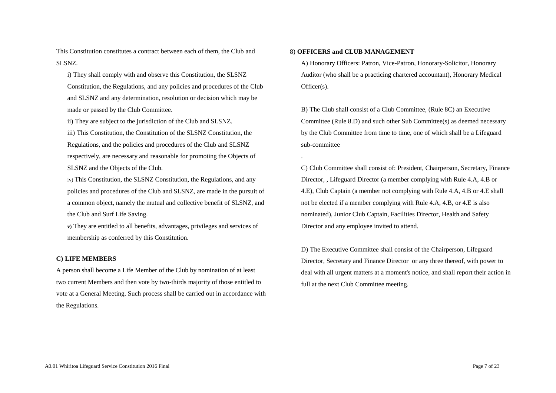This Constitution constitutes a contract between each of them, the Club and SLSNZ.

i) They shall comply with and observe this Constitution, the SLSNZ Constitution, the Regulations, and any policies and procedures of the Club and SLSNZ and any determination, resolution or decision which may be made or passed by the Club Committee.

ii) They are subject to the jurisdiction of the Club and SLSNZ.

iii) This Constitution, the Constitution of the SLSNZ Constitution, the Regulations, and the policies and procedures of the Club and SLSNZ respectively, are necessary and reasonable for promoting the Objects of SLSNZ and the Objects of the Club.

iv) This Constitution, the SLSNZ Constitution, the Regulations, and any policies and procedures of the Club and SLSNZ, are made in the pursuit of a common object, namely the mutual and collective benefit of SLSNZ, and the Club and Surf Life Saving.

**v)** They are entitled to all benefits, advantages, privileges and services of membership as conferred by this Constitution.

#### **C) LIFE MEMBERS**

A person shall become a Life Member of the Club by nomination of at least two current Members and then vote by two-thirds majority of those entitled to vote at a General Meeting. Such process shall be carried out in accordance with the Regulations.

## 8) **OFFICERS and CLUB MANAGEMENT**

.

A) Honorary Officers: Patron, Vice-Patron, Honorary-Solicitor, Honorary Auditor (who shall be a practicing chartered accountant), Honorary Medical Officer(s).

B) The Club shall consist of a Club Committee, (Rule 8C) an Executive Committee (Rule 8.D) and such other Sub Committee(s) as deemed necessary by the Club Committee from time to time, one of which shall be a Lifeguard sub-committee

C) Club Committee shall consist of: President, Chairperson, Secretary, Finance Director, , Lifeguard Director (a member complying with Rule 4.A, 4.B or 4.E), Club Captain (a member not complying with Rule 4.A, 4.B or 4.E shall not be elected if a member complying with Rule 4.A, 4.B, or 4.E is also nominated), Junior Club Captain, Facilities Director, Health and Safety Director and any employee invited to attend.

D) The Executive Committee shall consist of the Chairperson, Lifeguard Director, Secretary and Finance Director or any three thereof, with power to deal with all urgent matters at a moment's notice, and shall report their action in full at the next Club Committee meeting.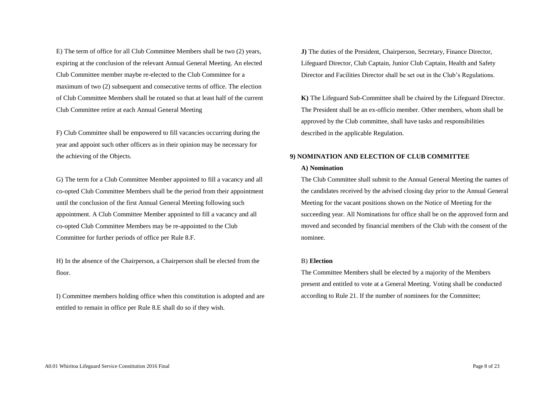E) The term of office for all Club Committee Members shall be two (2) years, expiring at the conclusion of the relevant Annual General Meeting. An elected Club Committee member maybe re-elected to the Club Committee for a maximum of two (2) subsequent and consecutive terms of office. The election of Club Committee Members shall be rotated so that at least half of the current Club Committee retire at each Annual General Meeting

F) Club Committee shall be empowered to fill vacancies occurring during the year and appoint such other officers as in their opinion may be necessary for the achieving of the Objects.

G) The term for a Club Committee Member appointed to fill a vacancy and all co-opted Club Committee Members shall be the period from their appointment until the conclusion of the first Annual General Meeting following such appointment. A Club Committee Member appointed to fill a vacancy and all co-opted Club Committee Members may be re-appointed to the Club Committee for further periods of office per Rule 8.F.

H) In the absence of the Chairperson, a Chairperson shall be elected from the floor.

I) Committee members holding office when this constitution is adopted and are entitled to remain in office per Rule 8.E shall do so if they wish.

**J)** The duties of the President, Chairperson, Secretary, Finance Director, Lifeguard Director, Club Captain, Junior Club Captain, Health and Safety Director and Facilities Director shall be set out in the Club's Regulations.

**K)** The Lifeguard Sub-Committee shall be chaired by the Lifeguard Director. The President shall be an ex-officio member. Other members, whom shall be approved by the Club committee, shall have tasks and responsibilities described in the applicable Regulation.

#### **9) NOMINATION AND ELECTION OF CLUB COMMITTEE**

#### **A) Nomination**

The Club Committee shall submit to the Annual General Meeting the names of the candidates received by the advised closing day prior to the Annual General Meeting for the vacant positions shown on the Notice of Meeting for the succeeding year. All Nominations for office shall be on the approved form and moved and seconded by financial members of the Club with the consent of the nominee.

#### B) **Election**

The Committee Members shall be elected by a majority of the Members present and entitled to vote at a General Meeting. Voting shall be conducted according to Rule 21. If the number of nominees for the Committee;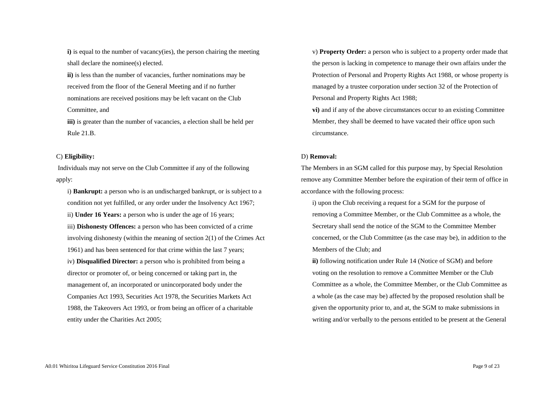**i**) is equal to the number of vacancy(ies), the person chairing the meeting shall declare the nominee(s) elected.

**ii**) is less than the number of vacancies, further nominations may be received from the floor of the General Meeting and if no further nominations are received positions may be left vacant on the Club Committee, and

**iii)** is greater than the number of vacancies, a election shall be held per Rule 21.B.

#### C) **Eligibility:**

Individuals may not serve on the Club Committee if any of the following apply:

i) **Bankrupt:** a person who is an undischarged bankrupt, or is subject to a condition not yet fulfilled, or any order under the Insolvency Act 1967; ii) **Under 16 Years:** a person who is under the age of 16 years; iii) **Dishonesty Offences:** a person who has been convicted of a crime involving dishonesty (within the meaning of section 2(1) of the Crimes Act 1961) and has been sentenced for that crime within the last 7 years; iv) **Disqualified Director:** a person who is prohibited from being a director or promoter of, or being concerned or taking part in, the management of, an incorporated or unincorporated body under the Companies Act 1993, Securities Act 1978, the Securities Markets Act 1988, the Takeovers Act 1993, or from being an officer of a charitable entity under the Charities Act 2005;

v) **Property Order:** a person who is subject to a property order made that the person is lacking in competence to manage their own affairs under the Protection of Personal and Property Rights Act 1988, or whose property is managed by a trustee corporation under section 32 of the Protection of Personal and Property Rights Act 1988;

**vi)** and if any of the above circumstances occur to an existing Committee Member, they shall be deemed to have vacated their office upon such circumstance.

#### D) **Removal:**

The Members in an SGM called for this purpose may, by Special Resolution remove any Committee Member before the expiration of their term of office in accordance with the following process:

i) upon the Club receiving a request for a SGM for the purpose of removing a Committee Member, or the Club Committee as a whole, the Secretary shall send the notice of the SGM to the Committee Member concerned, or the Club Committee (as the case may be), in addition to the Members of the Club; and

**ii)** following notification under Rule 14 (Notice of SGM) and before voting on the resolution to remove a Committee Member or the Club Committee as a whole, the Committee Member, or the Club Committee as a whole (as the case may be) affected by the proposed resolution shall be given the opportunity prior to, and at, the SGM to make submissions in writing and/or verbally to the persons entitled to be present at the General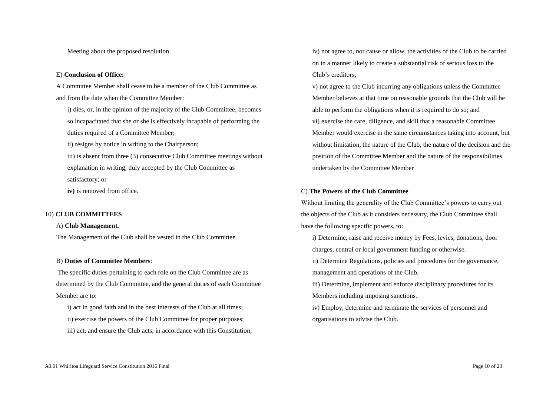Meeting about the proposed resolution.

#### E) **Conclusion of Office:**

A Committee Member shall cease to be a member of the Club Committee as and from the date when the Committee Member:

i) dies, or, in the opinion of the majority of the Club Committee, becomes so incapacitated that she or she is effectively incapable of performing the duties required of a Committee Member;

ii) resigns by notice in writing to the Chairperson;

iii) is absent from three (3) consecutive Club Committee meetings without explanation in writing, duly accepted by the Club Committee as satisfactory; or

**iv)** is removed from office.

#### 10) **CLUB COMMITTEES**

## A) **Club Management.**

The Management of the Club shall be vested in the Club Committee.

#### B) **Duties of Committee Members**:

The specific duties pertaining to each role on the Club Committee are as determined by the Club Committee, and the general duties of each Committee Member are to:

i) act in good faith and in the best interests of the Club at all times;

- ii) exercise the powers of the Club Committee for proper purposes;
- iii) act, and ensure the Club acts, in accordance with this Constitution;

iv) not agree to, nor cause or allow, the activities of the Club to be carried on in a manner likely to create a substantial risk of serious loss to the Club's creditors;

v) not agree to the Club incurring any obligations unless the Committee Member believes at that time on reasonable grounds that the Club will be able to perform the obligations when it is required to do so; and vi) exercise the care, diligence, and skill that a reasonable Committee Member would exercise in the same circumstances taking into account, but without limitation, the nature of the Club, the nature of the decision and the position of the Committee Member and the nature of the responsibilities undertaken by the Committee Member

#### C) **The Powers of the Club Committee**

Without limiting the generality of the Club Committee's powers to carry out the objects of the Club as it considers necessary, the Club Committee shall have the following specific powers, to:

i) Determine, raise and receive money by Fees, levies, donations, door charges, central or local government funding or otherwise.

ii) Determine Regulations, policies and procedures for the governance, management and operations of the Club.

iii) Determine, implement and enforce disciplinary procedures for its Members including imposing sanctions.

iv) Employ, determine and terminate the services of personnel and organisations to advise the Club.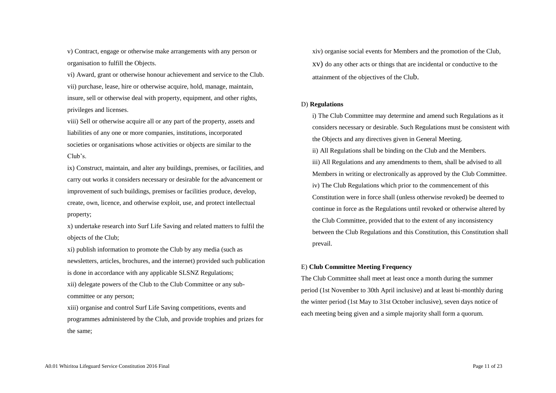v) Contract, engage or otherwise make arrangements with any person or organisation to fulfill the Objects.

vi) Award, grant or otherwise honour achievement and service to the Club. vii) purchase, lease, hire or otherwise acquire, hold, manage, maintain, insure, sell or otherwise deal with property, equipment, and other rights, privileges and licenses.

viii) Sell or otherwise acquire all or any part of the property, assets and liabilities of any one or more companies, institutions, incorporated societies or organisations whose activities or objects are similar to the Club's.

ix) Construct, maintain, and alter any buildings, premises, or facilities, and carry out works it considers necessary or desirable for the advancement or improvement of such buildings, premises or facilities produce, develop, create, own, licence, and otherwise exploit, use, and protect intellectual property;

x) undertake research into Surf Life Saving and related matters to fulfil the objects of the Club;

xi) publish information to promote the Club by any media (such as newsletters, articles, brochures, and the internet) provided such publication is done in accordance with any applicable SLSNZ Regulations; xii) delegate powers of the Club to the Club Committee or any subcommittee or any person;

xiii) organise and control Surf Life Saving competitions, events and programmes administered by the Club, and provide trophies and prizes for the same;

xiv) organise social events for Members and the promotion of the Club, xv) do any other acts or things that are incidental or conductive to the attainment of the objectives of the Club.

#### D) **Regulations**

i) The Club Committee may determine and amend such Regulations as it considers necessary or desirable. Such Regulations must be consistent with the Objects and any directives given in General Meeting.

ii) All Regulations shall be binding on the Club and the Members. iii) All Regulations and any amendments to them, shall be advised to all Members in writing or electronically as approved by the Club Committee. iv) The Club Regulations which prior to the commencement of this Constitution were in force shall (unless otherwise revoked) be deemed to continue in force as the Regulations until revoked or otherwise altered by the Club Committee, provided that to the extent of any inconsistency between the Club Regulations and this Constitution, this Constitution shall prevail.

## E) **Club Committee Meeting Frequency**

The Club Committee shall meet at least once a month during the summer period (1st November to 30th April inclusive) and at least bi-monthly during the winter period (1st May to 31st October inclusive), seven days notice of each meeting being given and a simple majority shall form a quorum.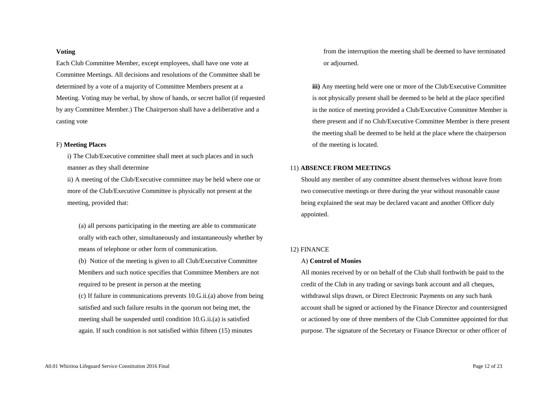#### **Voting**

Each Club Committee Member, except employees, shall have one vote at Committee Meetings. All decisions and resolutions of the Committee shall be determined by a vote of a majority of Committee Members present at a Meeting. Voting may be verbal, by show of hands, or secret ballot (if requested by any Committee Member.) The Chairperson shall have a deliberative and a casting vote

#### F) **Meeting Places**

i) The Club/Executive committee shall meet at such places and in such manner as they shall determine

ii) A meeting of the Club/Executive committee may be held where one or more of the Club/Executive Committee is physically not present at the meeting, provided that:

(a) all persons participating in the meeting are able to communicate orally with each other, simultaneously and instantaneously whether by means of telephone or other form of communication.

(b) Notice of the meeting is given to all Club/Executive Committee Members and such notice specifies that Committee Members are not required to be present in person at the meeting

(c) If failure in communications prevents 10.G.ii.(a) above from being satisfied and such failure results in the quorum not being met, the meeting shall be suspended until condition 10.G.ii.(a) is satisfied again. If such condition is not satisfied within fifteen (15) minutes

from the interruption the meeting shall be deemed to have terminated or adjourned.

**iii)** Any meeting held were one or more of the Club/Executive Committee is not physically present shall be deemed to be held at the place specified in the notice of meeting provided a Club/Executive Committee Member is there present and if no Club/Executive Committee Member is there present the meeting shall be deemed to be held at the place where the chairperson of the meeting is located.

## 11) **ABSENCE FROM MEETINGS**

Should any member of any committee absent themselves without leave from two consecutive meetings or three during the year without reasonable cause being explained the seat may be declared vacant and another Officer duly appointed.

#### 12) FINANCE

#### A) **Control of Monies**

All monies received by or on behalf of the Club shall forthwith be paid to the credit of the Club in any trading or savings bank account and all cheques, withdrawal slips drawn, or Direct Electronic Payments on any such bank account shall be signed or actioned by the Finance Director and countersigned or actioned by one of three members of the Club Committee appointed for that purpose. The signature of the Secretary or Finance Director or other officer of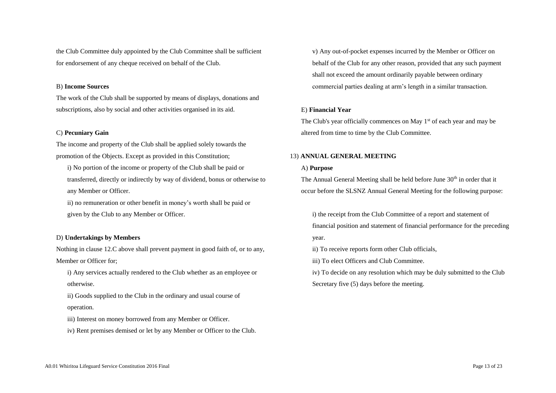the Club Committee duly appointed by the Club Committee shall be sufficient for endorsement of any cheque received on behalf of the Club.

#### B) **Income Sources**

The work of the Club shall be supported by means of displays, donations and subscriptions, also by social and other activities organised in its aid.

#### C) **Pecuniary Gain**

The income and property of the Club shall be applied solely towards the promotion of the Objects. Except as provided in this Constitution;

i) No portion of the income or property of the Club shall be paid or transferred, directly or indirectly by way of dividend, bonus or otherwise to any Member or Officer.

ii) no remuneration or other benefit in money's worth shall be paid or given by the Club to any Member or Officer.

#### D) **Undertakings by Members**

Nothing in clause 12.C above shall prevent payment in good faith of, or to any, Member or Officer for;

i) Any services actually rendered to the Club whether as an employee or otherwise.

ii) Goods supplied to the Club in the ordinary and usual course of operation.

iii) Interest on money borrowed from any Member or Officer.

iv) Rent premises demised or let by any Member or Officer to the Club.

v) Any out-of-pocket expenses incurred by the Member or Officer on behalf of the Club for any other reason, provided that any such payment shall not exceed the amount ordinarily payable between ordinary commercial parties dealing at arm's length in a similar transaction.

#### E) **Financial Year**

The Club's year officially commences on May 1<sup>st</sup> of each year and may be altered from time to time by the Club Committee.

#### 13) **ANNUAL GENERAL MEETING**

#### A) **Purpose**

The Annual General Meeting shall be held before June 30<sup>th</sup> in order that it occur before the SLSNZ Annual General Meeting for the following purpose:

i) the receipt from the Club Committee of a report and statement of financial position and statement of financial performance for the preceding year.

ii) To receive reports form other Club officials,

iii) To elect Officers and Club Committee.

iv) To decide on any resolution which may be duly submitted to the Club Secretary five (5) days before the meeting.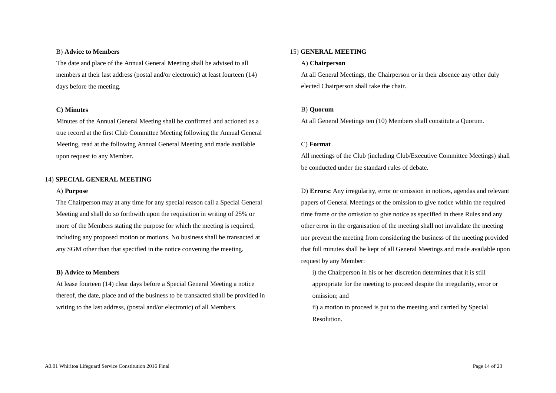#### B) **Advice to Members**

The date and place of the Annual General Meeting shall be advised to all members at their last address (postal and/or electronic) at least fourteen (14) days before the meeting.

#### **C) Minutes**

Minutes of the Annual General Meeting shall be confirmed and actioned as a true record at the first Club Committee Meeting following the Annual General Meeting, read at the following Annual General Meeting and made available upon request to any Member.

#### 14) **SPECIAL GENERAL MEETING**

#### A) **Purpose**

The Chairperson may at any time for any special reason call a Special General Meeting and shall do so forthwith upon the requisition in writing of 25% or more of the Members stating the purpose for which the meeting is required, including any proposed motion or motions. No business shall be transacted at any SGM other than that specified in the notice convening the meeting.

#### **B) Advice to Members**

At lease fourteen (14) clear days before a Special General Meeting a notice thereof, the date, place and of the business to be transacted shall be provided in writing to the last address, (postal and/or electronic) of all Members.

### 15) **GENERAL MEETING**

#### A) **Chairperson**

At all General Meetings, the Chairperson or in their absence any other duly elected Chairperson shall take the chair.

#### B) **Quorum**

At all General Meetings ten (10) Members shall constitute a Quorum.

#### C) **Format**

All meetings of the Club (including Club/Executive Committee Meetings) shall be conducted under the standard rules of debate.

D) **Errors:** Any irregularity, error or omission in notices, agendas and relevant papers of General Meetings or the omission to give notice within the required time frame or the omission to give notice as specified in these Rules and any other error in the organisation of the meeting shall not invalidate the meeting nor prevent the meeting from considering the business of the meeting provided that full minutes shall be kept of all General Meetings and made available upon request by any Member:

i) the Chairperson in his or her discretion determines that it is still appropriate for the meeting to proceed despite the irregularity, error or omission; and

ii) a motion to proceed is put to the meeting and carried by Special Resolution.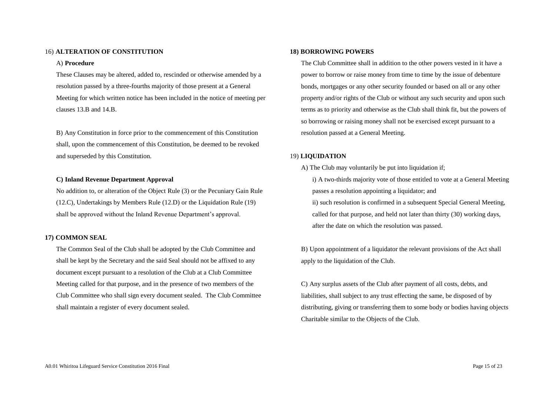#### 16) **ALTERATION OF CONSTITUTION**

#### A) **Procedure**

These Clauses may be altered, added to, rescinded or otherwise amended by a resolution passed by a three-fourths majority of those present at a General Meeting for which written notice has been included in the notice of meeting per clauses 13.B and 14.B.

B) Any Constitution in force prior to the commencement of this Constitution shall, upon the commencement of this Constitution, be deemed to be revoked and superseded by this Constitution.

#### **C) Inland Revenue Department Approval**

No addition to, or alteration of the Object Rule (3) or the Pecuniary Gain Rule (12.C), Undertakings by Members Rule (12.D) or the Liquidation Rule (19) shall be approved without the Inland Revenue Department's approval.

#### **17) COMMON SEAL**

The Common Seal of the Club shall be adopted by the Club Committee and shall be kept by the Secretary and the said Seal should not be affixed to any document except pursuant to a resolution of the Club at a Club Committee Meeting called for that purpose, and in the presence of two members of the Club Committee who shall sign every document sealed. The Club Committee shall maintain a register of every document sealed.

#### **18) BORROWING POWERS**

The Club Committee shall in addition to the other powers vested in it have a power to borrow or raise money from time to time by the issue of debenture bonds, mortgages or any other security founded or based on all or any other property and/or rights of the Club or without any such security and upon such terms as to priority and otherwise as the Club shall think fit, but the powers of so borrowing or raising money shall not be exercised except pursuant to a resolution passed at a General Meeting.

#### 19) **LIQUIDATION**

A) The Club may voluntarily be put into liquidation if; i) A two-thirds majority vote of those entitled to vote at a General Meeting passes a resolution appointing a liquidator; and ii) such resolution is confirmed in a subsequent Special General Meeting, called for that purpose, and held not later than thirty (30) working days, after the date on which the resolution was passed.

B) Upon appointment of a liquidator the relevant provisions of the Act shall apply to the liquidation of the Club.

C) Any surplus assets of the Club after payment of all costs, debts, and liabilities, shall subject to any trust effecting the same, be disposed of by distributing, giving or transferring them to some body or bodies having objects Charitable similar to the Objects of the Club.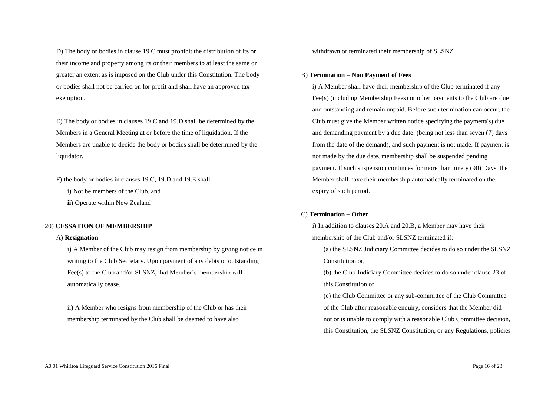D) The body or bodies in clause 19.C must prohibit the distribution of its or their income and property among its or their members to at least the same or greater an extent as is imposed on the Club under this Constitution. The body or bodies shall not be carried on for profit and shall have an approved tax exemption.

E) The body or bodies in clauses 19.C and 19.D shall be determined by the Members in a General Meeting at or before the time of liquidation. If the Members are unable to decide the body or bodies shall be determined by the liquidator.

F) the body or bodies in clauses 19.C, 19.D and 19.E shall:

i) Not be members of the Club, and

**ii)** Operate within New Zealand

#### 20) **CESSATION OF MEMBERSHIP**

#### A) **Resignation**

i) A Member of the Club may resign from membership by giving notice in writing to the Club Secretary. Upon payment of any debts or outstanding Fee(s) to the Club and/or SLSNZ, that Member's membership will automatically cease.

ii) A Member who resigns from membership of the Club or has their membership terminated by the Club shall be deemed to have also

withdrawn or terminated their membership of SLSNZ.

#### B) **Termination – Non Payment of Fees**

i) A Member shall have their membership of the Club terminated if any Fee(s) (including Membership Fees) or other payments to the Club are due and outstanding and remain unpaid. Before such termination can occur, the Club must give the Member written notice specifying the payment(s) due and demanding payment by a due date, (being not less than seven (7) days from the date of the demand), and such payment is not made. If payment is not made by the due date, membership shall be suspended pending payment. If such suspension continues for more than ninety (90) Days, the Member shall have their membership automatically terminated on the expiry of such period.

#### C) **Termination – Other**

i) In addition to clauses 20.A and 20.B, a Member may have their membership of the Club and/or SLSNZ terminated if:

(a) the SLSNZ Judiciary Committee decides to do so under the SLSNZ Constitution or,

(b) the Club Judiciary Committee decides to do so under clause 23 of this Constitution or,

(c) the Club Committee or any sub-committee of the Club Committee of the Club after reasonable enquiry, considers that the Member did not or is unable to comply with a reasonable Club Committee decision, this Constitution, the SLSNZ Constitution, or any Regulations, policies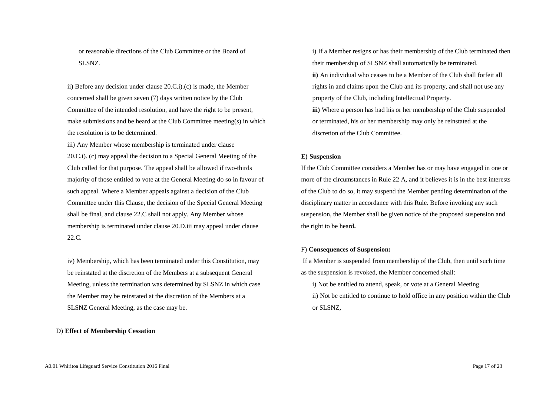or reasonable directions of the Club Committee or the Board of SLSNZ.

ii) Before any decision under clause 20.C.i).(c) is made, the Member concerned shall be given seven (7) days written notice by the Club Committee of the intended resolution, and have the right to be present, make submissions and be heard at the Club Committee meeting(s) in which the resolution is to be determined.

iii) Any Member whose membership is terminated under clause 20.C.i). (c) may appeal the decision to a Special General Meeting of the Club called for that purpose. The appeal shall be allowed if two-thirds majority of those entitled to vote at the General Meeting do so in favour of such appeal. Where a Member appeals against a decision of the Club Committee under this Clause, the decision of the Special General Meeting shall be final, and clause 22.C shall not apply. Any Member whose membership is terminated under clause 20.D.iii may appeal under clause 22.C.

iv) Membership, which has been terminated under this Constitution, may be reinstated at the discretion of the Members at a subsequent General Meeting, unless the termination was determined by SLSNZ in which case the Member may be reinstated at the discretion of the Members at a SLSNZ General Meeting, as the case may be.

#### D) **Effect of Membership Cessation**

i) If a Member resigns or has their membership of the Club terminated then their membership of SLSNZ shall automatically be terminated. **ii)** An individual who ceases to be a Member of the Club shall forfeit all rights in and claims upon the Club and its property, and shall not use any property of the Club, including Intellectual Property. **iii)** Where a person has had his or her membership of the Club suspended

or terminated, his or her membership may only be reinstated at the discretion of the Club Committee.

#### **E) Suspension**

If the Club Committee considers a Member has or may have engaged in one or more of the circumstances in Rule 22 A, and it believes it is in the best interests of the Club to do so, it may suspend the Member pending determination of the disciplinary matter in accordance with this Rule. Before invoking any such suspension, the Member shall be given notice of the proposed suspension and the right to be heard**.**

#### F) **Consequences of Suspension:**

If a Member is suspended from membership of the Club, then until such time as the suspension is revoked, the Member concerned shall:

i) Not be entitled to attend, speak, or vote at a General Meeting ii) Not be entitled to continue to hold office in any position within the Club or SLSNZ,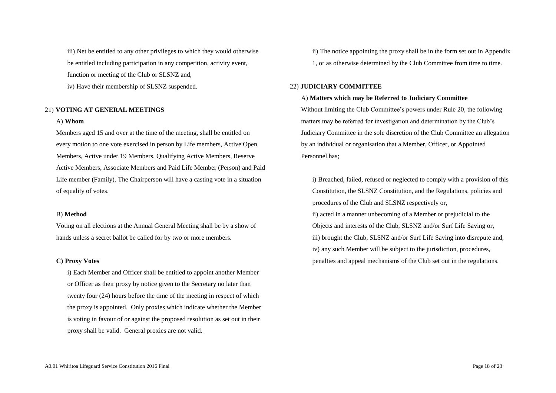iii) Net be entitled to any other privileges to which they would otherwise be entitled including participation in any competition, activity event, function or meeting of the Club or SLSNZ and,

iv) Have their membership of SLSNZ suspended.

#### 21) **VOTING AT GENERAL MEETINGS**

#### A) **Whom**

Members aged 15 and over at the time of the meeting, shall be entitled on every motion to one vote exercised in person by Life members, Active Open Members, Active under 19 Members, Qualifying Active Members, Reserve Active Members, Associate Members and Paid Life Member (Person) and Paid Life member (Family). The Chairperson will have a casting vote in a situation of equality of votes.

#### B) **Method**

Voting on all elections at the Annual General Meeting shall be by a show of hands unless a secret ballot be called for by two or more members.

#### **C) Proxy Votes**

i) Each Member and Officer shall be entitled to appoint another Member or Officer as their proxy by notice given to the Secretary no later than twenty four (24) hours before the time of the meeting in respect of which the proxy is appointed. Only proxies which indicate whether the Member is voting in favour of or against the proposed resolution as set out in their proxy shall be valid. General proxies are not valid.

ii) The notice appointing the proxy shall be in the form set out in Appendix 1, or as otherwise determined by the Club Committee from time to time.

#### 22) **JUDICIARY COMMITTEE**

#### A) **Matters which may be Referred to Judiciary Committee**

Without limiting the Club Committee's powers under Rule 20, the following matters may be referred for investigation and determination by the Club's Judiciary Committee in the sole discretion of the Club Committee an allegation by an individual or organisation that a Member, Officer, or Appointed Personnel has;

i) Breached, failed, refused or neglected to comply with a provision of this Constitution, the SLSNZ Constitution, and the Regulations, policies and procedures of the Club and SLSNZ respectively or,

ii) acted in a manner unbecoming of a Member or prejudicial to the Objects and interests of the Club, SLSNZ and/or Surf Life Saving or, iii) brought the Club, SLSNZ and/or Surf Life Saving into disrepute and, iv) any such Member will be subject to the jurisdiction, procedures, penalties and appeal mechanisms of the Club set out in the regulations.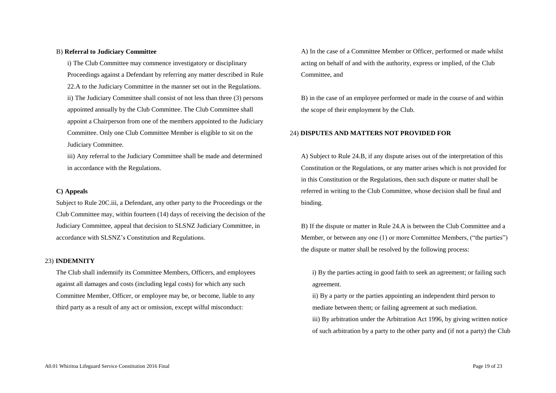#### B) **Referral to Judiciary Committee**

i) The Club Committee may commence investigatory or disciplinary Proceedings against a Defendant by referring any matter described in Rule 22.A to the Judiciary Committee in the manner set out in the Regulations. ii) The Judiciary Committee shall consist of not less than three (3) persons appointed annually by the Club Committee. The Club Committee shall appoint a Chairperson from one of the members appointed to the Judiciary Committee. Only one Club Committee Member is eligible to sit on the Judiciary Committee.

iii) Any referral to the Judiciary Committee shall be made and determined in accordance with the Regulations.

#### **C) Appeals**

Subject to Rule 20C.iii, a Defendant, any other party to the Proceedings or the Club Committee may, within fourteen (14) days of receiving the decision of the Judiciary Committee, appeal that decision to SLSNZ Judiciary Committee, in accordance with SLSNZ's Constitution and Regulations.

#### 23) **INDEMNITY**

The Club shall indemnify its Committee Members, Officers, and employees against all damages and costs (including legal costs) for which any such Committee Member, Officer, or employee may be, or become, liable to any third party as a result of any act or omission, except wilful misconduct:

A) In the case of a Committee Member or Officer, performed or made whilst acting on behalf of and with the authority, express or implied, of the Club Committee, and

B) in the case of an employee performed or made in the course of and within the scope of their employment by the Club.

#### 24) **DISPUTES AND MATTERS NOT PROVIDED FOR**

A) Subject to Rule 24.B, if any dispute arises out of the interpretation of this Constitution or the Regulations, or any matter arises which is not provided for in this Constitution or the Regulations, then such dispute or matter shall be referred in writing to the Club Committee, whose decision shall be final and binding.

B) If the dispute or matter in Rule 24.A is between the Club Committee and a Member, or between any one (1) or more Committee Members, ("the parties") the dispute or matter shall be resolved by the following process:

i) By the parties acting in good faith to seek an agreement; or failing such agreement.

ii) By a party or the parties appointing an independent third person to mediate between them; or failing agreement at such mediation.

iii) By arbitration under the Arbitration Act 1996, by giving written notice of such arbitration by a party to the other party and (if not a party) the Club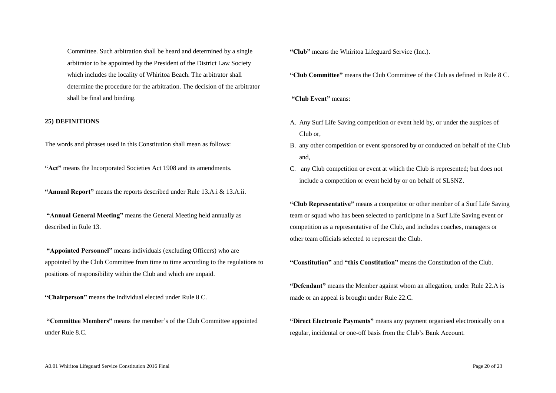Committee. Such arbitration shall be heard and determined by a single arbitrator to be appointed by the President of the District Law Society which includes the locality of Whiritoa Beach. The arbitrator shall determine the procedure for the arbitration. The decision of the arbitrator shall be final and binding.

#### **25) DEFINITIONS**

The words and phrases used in this Constitution shall mean as follows:

**"Act"** means the Incorporated Societies Act 1908 and its amendments.

**"Annual Report"** means the reports described under Rule 13.A.i & 13.A.ii.

**"Annual General Meeting"** means the General Meeting held annually as described in Rule 13.

**"Appointed Personnel"** means individuals (excluding Officers) who are appointed by the Club Committee from time to time according to the regulations to positions of responsibility within the Club and which are unpaid.

**"Chairperson"** means the individual elected under Rule 8 C.

**"Committee Members"** means the member's of the Club Committee appointed under Rule 8.C.

**"Club"** means the Whiritoa Lifeguard Service (Inc.).

**"Club Committee"** means the Club Committee of the Club as defined in Rule 8 C.

**"Club Event"** means:

- A. Any Surf Life Saving competition or event held by, or under the auspices of Club or,
- B. any other competition or event sponsored by or conducted on behalf of the Club and,
- C. any Club competition or event at which the Club is represented; but does not include a competition or event held by or on behalf of SLSNZ.

**"Club Representative"** means a competitor or other member of a Surf Life Saving team or squad who has been selected to participate in a Surf Life Saving event or competition as a representative of the Club, and includes coaches, managers or other team officials selected to represent the Club.

**"Constitution"** and **"this Constitution"** means the Constitution of the Club.

**"Defendant"** means the Member against whom an allegation, under Rule 22.A is made or an appeal is brought under Rule 22.C.

**"Direct Electronic Payments"** means any payment organised electronically on a regular, incidental or one-off basis from the Club's Bank Account.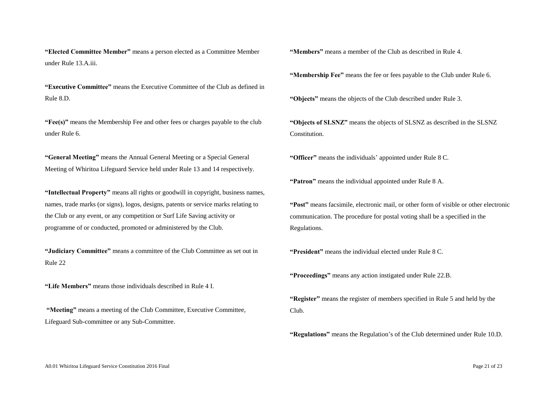**"Elected Committee Member"** means a person elected as a Committee Member under Rule 13.A.iii.

**"Executive Committee"** means the Executive Committee of the Club as defined in Rule 8.D.

**"Fee(s)"** means the Membership Fee and other fees or charges payable to the club under Rule 6.

**"General Meeting"** means the Annual General Meeting or a Special General Meeting of Whiritoa Lifeguard Service held under Rule 13 and 14 respectively.

**"Intellectual Property"** means all rights or goodwill in copyright, business names, names, trade marks (or signs), logos, designs, patents or service marks relating to the Club or any event, or any competition or Surf Life Saving activity or programme of or conducted, promoted or administered by the Club.

**"Judiciary Committee"** means a committee of the Club Committee as set out in Rule 22

**"Life Members"** means those individuals described in Rule 4 I.

**"Meeting"** means a meeting of the Club Committee, Executive Committee, Lifeguard Sub-committee or any Sub-Committee.

**"Members"** means a member of the Club as described in Rule 4.

**"Membership Fee"** means the fee or fees payable to the Club under Rule 6.

**"Objects"** means the objects of the Club described under Rule 3.

**"Objects of SLSNZ"** means the objects of SLSNZ as described in the SLSNZ Constitution.

**"Officer"** means the individuals' appointed under Rule 8 C.

**"Patron"** means the individual appointed under Rule 8 A.

**"Post"** means facsimile, electronic mail, or other form of visible or other electronic communication. The procedure for postal voting shall be a specified in the Regulations.

**"President"** means the individual elected under Rule 8 C.

**"Proceedings"** means any action instigated under Rule 22.B.

**"Register"** means the register of members specified in Rule 5 and held by the Club.

**"Regulations"** means the Regulation's of the Club determined under Rule 10.D.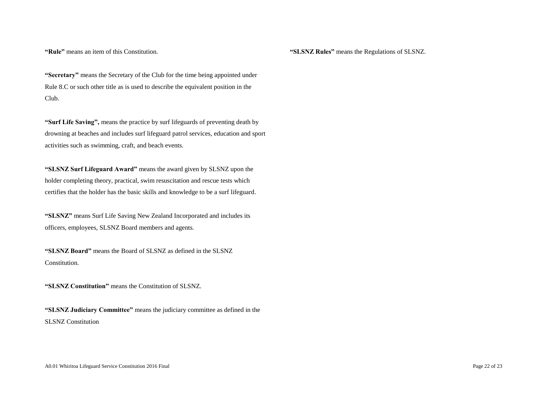**"Rule"** means an item of this Constitution.

**"SLSNZ Rules"** means the Regulations of SLSNZ.

**"Secretary"** means the Secretary of the Club for the time being appointed under Rule 8.C or such other title as is used to describe the equivalent position in the Club.

**"Surf Life Saving",** means the practice by surf lifeguards of preventing death by drowning at beaches and includes surf lifeguard patrol services, education and sport activities such as swimming, craft, and beach events.

**"SLSNZ Surf Lifeguard Award"** means the award given by SLSNZ upon the holder completing theory, practical, swim resuscitation and rescue tests which certifies that the holder has the basic skills and knowledge to be a surf lifeguard.

**"SLSNZ"** means Surf Life Saving New Zealand Incorporated and includes its officers, employees, SLSNZ Board members and agents.

**"SLSNZ Board"** means the Board of SLSNZ as defined in the SLSNZ Constitution.

**"SLSNZ Constitution"** means the Constitution of SLSNZ.

**"SLSNZ Judiciary Committee"** means the judiciary committee as defined in the SLSNZ Constitution